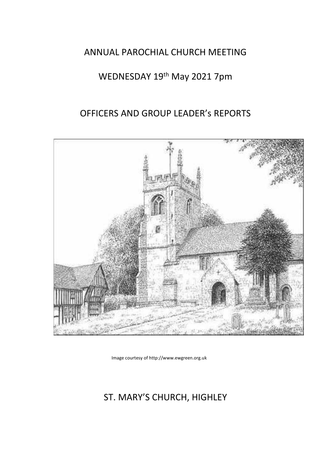## ANNUAL PAROCHIAL CHURCH MEETING

# WEDNESDAY 19<sup>th</sup> May 2021 7pm

# OFFICERS AND GROUP LEADER's REPORTS



Image courtesy of http://www.ewgreen.org.uk

# ST. MARY'S CHURCH, HIGHLEY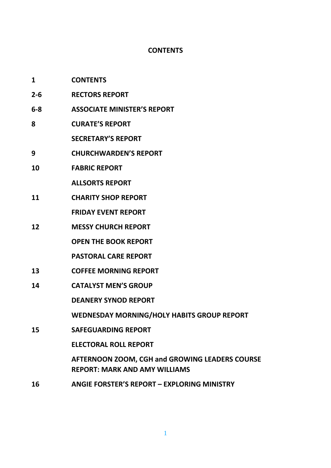## **CONTENTS**

| 1       | <b>CONTENTS</b>                                                                        |
|---------|----------------------------------------------------------------------------------------|
| $2 - 6$ | <b>RECTORS REPORT</b>                                                                  |
| $6-8$   | <b>ASSOCIATE MINISTER'S REPORT</b>                                                     |
| 8       | <b>CURATE'S REPORT</b>                                                                 |
|         | <b>SECRETARY'S REPORT</b>                                                              |
| 9       | <b>CHURCHWARDEN'S REPORT</b>                                                           |
| 10      | <b>FABRIC REPORT</b>                                                                   |
|         | <b>ALLSORTS REPORT</b>                                                                 |
| 11      | <b>CHARITY SHOP REPORT</b>                                                             |
|         | <b>FRIDAY EVENT REPORT</b>                                                             |
| 12      | <b>MESSY CHURCH REPORT</b>                                                             |
|         | <b>OPEN THE BOOK REPORT</b>                                                            |
|         | <b>PASTORAL CARE REPORT</b>                                                            |
| 13      | <b>COFFEE MORNING REPORT</b>                                                           |
| 14      | <b>CATALYST MEN'S GROUP</b>                                                            |
|         | <b>DEANERY SYNOD REPORT</b>                                                            |
|         | <b>WEDNESDAY MORNING/HOLY HABITS GROUP REPORT</b>                                      |
| 15      | <b>SAFEGUARDING REPORT</b>                                                             |
|         | <b>ELECTORAL ROLL REPORT</b>                                                           |
|         | AFTERNOON ZOOM, CGH and GROWING LEADERS COURSE<br><b>REPORT: MARK AND AMY WILLIAMS</b> |
|         |                                                                                        |

**16 ANGIE FORSTER'S REPORT – EXPLORING MINISTRY**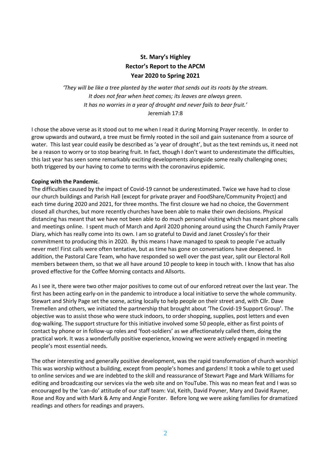## **St. Mary's Highley Rector's Report to the APCM Year 2020 to Spring 2021**

*'They will be like a tree planted by the water that sends out its roots by the stream. It does not fear when heat comes; its leaves are always green. It has no worries in a year of drought and never fails to bear fruit.'* Jeremiah 17:8

I chose the above verse as it stood out to me when I read it during Morning Prayer recently. In order to grow upwards and outward, a tree must be firmly rooted in the soil and gain sustenance from a source of water. This last year could easily be described as 'a year of drought', but as the text reminds us, it need not be a reason to worry or to stop bearing fruit. In fact, though I don't want to underestimate the difficulties, this last year has seen some remarkably exciting developments alongside some really challenging ones; both triggered by our having to come to terms with the coronavirus epidemic.

#### **Coping with the Pandemic**.

The difficulties caused by the impact of Covid-19 cannot be underestimated. Twice we have had to close our church buildings and Parish Hall (except for private prayer and FoodShare/Community Project) and each time during 2020 and 2021, for three months. The first closure we had no choice, the Government closed all churches, but more recently churches have been able to make their own decisions. Physical distancing has meant that we have not been able to do much personal visiting which has meant phone calls and meetings online. I spent much of March and April 2020 phoning around using the Church Family Prayer Diary, which has really come into its own. I am so grateful to David and Janet Crossley's for their commitment to producing this in 2020. By this means I have managed to speak to people I've actually never met! First calls were often tentative, but as time has gone on conversations have deepened. In addition, the Pastoral Care Team, who have responded so well over the past year, split our Electoral Roll members between them, so that we all have around 10 people to keep in touch with. I know that has also proved effective for the Coffee Morning contacts and Allsorts.

As I see it, there were two other major positives to come out of our enforced retreat over the last year. The first has been acting early-on in the pandemic to introduce a local initiative to serve the whole community. Stewart and Shirly Page set the scene, acting locally to help people on their street and, with Cllr. Dave Tremellen and others, we initiated the partnership that brought about 'The Covid-19 Support Group'. The objective was to assist those who were stuck indoors, to order shopping, supplies, post letters and even dog-walking. The support structure for this initiative involved some 50 people, either as first points of contact by phone or in follow-up roles and 'foot-soldiers' as we affectionately called them, doing the practical work. It was a wonderfully positive experience, knowing we were actively engaged in meeting people's most essential needs.

The other interesting and generally positive development, was the rapid transformation of church worship! This was worship without a building, except from people's homes and gardens! It took a while to get used to online services and we are indebted to the skill and reassurance of Stewart Page and Mark Williams for editing and broadcasting our services via the web site and on YouTube. This was no mean feat and I was so encouraged by the 'can-do' attitude of our staff team: Val, Keith, David Poyner, Mary and David Rayner, Rose and Roy and with Mark & Amy and Angie Forster. Before long we were asking families for dramatized readings and others for readings and prayers.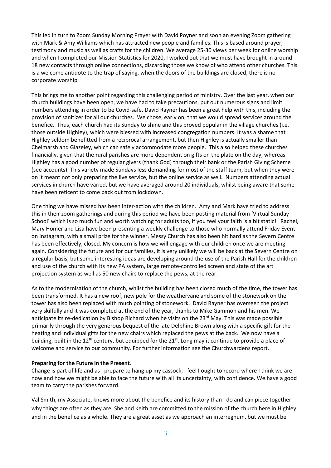This led in turn to Zoom Sunday Morning Prayer with David Poyner and soon an evening Zoom gathering with Mark & Amy Williams which has attracted new people and families. This is based around prayer, testimony and music as well as crafts for the children. We average 25-30 views per week for online worship and when I completed our Mission Statistics for 2020, I worked out that we must have brought in around 18 new contacts through online connections, discarding those we know of who attend other churches. This is a welcome antidote to the trap of saying, when the doors of the buildings are closed, there is no corporate worship.

This brings me to another point regarding this challenging period of ministry. Over the last year, when our church buildings have been open, we have had to take precautions, put out numerous signs and limit numbers attending in order to be Covid-safe. David Rayner has been a great help with this, including the provision of sanitizer for all our churches. We chose, early on, that we would spread services around the benefice. Thus, each church had its Sunday to shine and this proved popular in the village churches (i.e. those outside Highley), which were blessed with increased congregation numbers. It was a shame that Highley seldom benefitted from a reciprocal arrangement, but then Highley is actually smaller than Chelmarsh and Glazeley, which can safely accommodate more people. This also helped these churches financially, given that the rural parishes are more dependent on gifts on the plate on the day, whereas Highley has a good number of regular givers (thank God) through their bank or the Parish Giving Scheme (see accounts). This variety made Sundays less demanding for most of the staff team, but when they were on it meant not only preparing the live service, but the online service as well. Numbers attending actual services in church have varied, but we have averaged around 20 individuals, whilst being aware that some have been reticent to come back out from lockdown.

One thing we have missed has been inter-action with the children. Amy and Mark have tried to address this in their zoom gatherings and during this period we have been posting material from 'Virtual Sunday School' which is so much fun and worth watching for adults too, if you feel your faith is a bit static! Rachel, Mary Homer and Lisa have been presenting a weekly challenge to those who normally attend Friday Event on Instagram, with a small prize for the winner. Messy Church has also been hit hard as the Severn Centre has been effectively, closed. My concern is how we will engage with our children once we are meeting again. Considering the future and for our families, it is very unlikely we will be back at the Severn Centre on a regular basis, but some interesting ideas are developing around the use of the Parish Hall for the children and use of the church with its new PA system, large remote-controlled screen and state of the art projection system as well as 50 new chairs to replace the pews, at the rear.

As to the modernisation of the church, whilst the building has been closed much of the time, the tower has been transformed. It has a new roof, new pole for the weathervane and some of the stonework on the tower has also been replaced with much pointing of stonework. David Rayner has overseen the project very skilfully and it was completed at the end of the year, thanks to Mike Gammon and his men. We anticipate its re-dedication by Bishop Richard when he visits on the  $23^{rd}$  May. This was made possible primarily through the very generous bequest of the late Delphine Brown along with a specific gift for the heating and individual gifts for the new chairs which replaced the pews at the back. We now have a building, built in the 12<sup>th</sup> century, but equipped for the  $21^{st}$ . Long may it continue to provide a place of welcome and service to our community. For further information see the Churchwardens report.

#### **Preparing for the Future in the Present**.

Change is part of life and as I prepare to hang up my cassock, I feel I ought to record where I think we are now and how we might be able to face the future with all its uncertainty, with confidence. We have a good team to carry the parishes forward.

Val Smith, my Associate, knows more about the benefice and its history than I do and can piece together why things are often as they are. She and Keith are committed to the mission of the church here in Highley and in the benefice as a whole. They are a great asset as we approach an interregnum, but we must be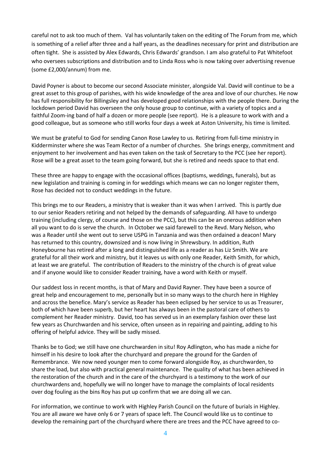careful not to ask too much of them. Val has voluntarily taken on the editing of The Forum from me, which is something of a relief after three and a half years, as the deadlines necessary for print and distribution are often tight. She is assisted by Alex Edwards, Chris Edwards' grandson. I am also grateful to Pat Whitefoot who oversees subscriptions and distribution and to Linda Ross who is now taking over advertising revenue (some £2,000/annum) from me.

David Poyner is about to become our second Associate minister, alongside Val. David will continue to be a great asset to this group of parishes, with his wide knowledge of the area and love of our churches. He now has full responsibility for Billingsley and has developed good relationships with the people there. During the lockdown period David has overseen the only house group to continue, with a variety of topics and a faithful Zoom-ing band of half a dozen or more people (see report). He is a pleasure to work with and a good colleague, but as someone who still works four days a week at Aston University, his time is limited.

We must be grateful to God for sending Canon Rose Lawley to us. Retiring from full-time ministry in Kidderminster where she was Team Rector of a number of churches. She brings energy, commitment and enjoyment to her involvement and has even taken on the task of Secretary to the PCC (see her report). Rose will be a great asset to the team going forward, but she is retired and needs space to that end.

These three are happy to engage with the occasional offices (baptisms, weddings, funerals), but as new legislation and training is coming in for weddings which means we can no longer register them, Rose has decided not to conduct weddings in the future.

This brings me to our Readers, a ministry that is weaker than it was when I arrived. This is partly due to our senior Readers retiring and not helped by the demands of safeguarding. All have to undergo training (including clergy, of course and those on the PCC), but this can be an onerous addition when all you want to do is serve the church. In October we said farewell to the Revd. Mary Nelson, who was a Reader until she went out to serve USPG in Tanzania and was then ordained a deacon! Mary has returned to this country, downsized and is now living in Shrewsbury. In addition, Ruth Honeybourne has retired after a long and distinguished life as a reader as has Liz Smith. We are grateful for all their work and ministry, but it leaves us with only one Reader, Keith Smith, for which, at least we are grateful. The contribution of Readers to the ministry of the church is of great value and if anyone would like to consider Reader training, have a word with Keith or myself.

Our saddest loss in recent months, is that of Mary and David Rayner. They have been a source of great help and encouragement to me, personally but in so many ways to the church here in Highley and across the benefice. Mary's service as Reader has been eclipsed by her service to us as Treasurer, both of which have been superb, but her heart has always been in the pastoral care of others to complement her Reader ministry. David, too has served us in an exemplary fashion over these last few years as Churchwarden and his service, often unseen as in repairing and painting, adding to his offering of helpful advice. They will be sadly missed.

Thanks be to God; we still have one churchwarden in situ! Roy Adlington, who has made a niche for himself in his desire to look after the churchyard and prepare the ground for the Garden of Remembrance. We now need younger men to come forward alongside Roy, as churchwarden, to share the load, but also with practical general maintenance. The quality of what has been achieved in the restoration of the church and in the care of the churchyard is a testimony to the work of our churchwardens and, hopefully we will no longer have to manage the complaints of local residents over dog fouling as the bins Roy has put up confirm that we are doing all we can.

For information, we continue to work with Highley Parish Council on the future of burials in Highley. You are all aware we have only 6 or 7 years of space left. The Council would like us to continue to develop the remaining part of the churchyard where there are trees and the PCC have agreed to co-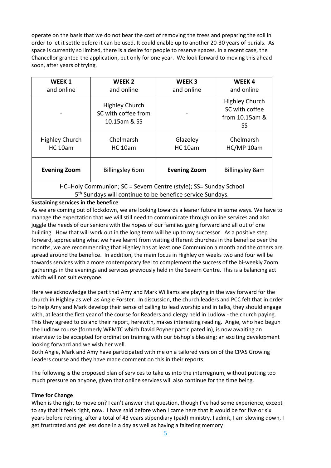operate on the basis that we do not bear the cost of removing the trees and preparing the soil in order to let it settle before it can be used. It could enable up to another 20-30 years of burials. As space is currently so limited, there is a desire for people to reserve spaces. In a recent case, the Chancellor granted the application, but only for one year. We look forward to moving this ahead soon, after years of trying.

| WEEK 1<br>and online                                                                                                                      | WEEK <sub>2</sub><br>and online                              | WEEK <sub>3</sub><br>and online | WEEK4<br>and online                                      |  |
|-------------------------------------------------------------------------------------------------------------------------------------------|--------------------------------------------------------------|---------------------------------|----------------------------------------------------------|--|
|                                                                                                                                           | <b>Highley Church</b><br>SC with coffee from<br>10.15am & SS |                                 | Highley Church<br>SC with coffee<br>from 10.15am &<br>SS |  |
| <b>Highley Church</b><br><b>HC 10am</b>                                                                                                   | Chelmarsh<br>$HC$ 10am                                       | Glazeley<br><b>HC 10am</b>      | Chelmarsh<br>HC/MP 10am                                  |  |
| <b>Evening Zoom</b>                                                                                                                       | <b>Billingsley 6pm</b>                                       | <b>Evening Zoom</b>             | <b>Billingsley 8am</b>                                   |  |
| HC=Holy Communion; SC = Severn Centre (style); SS= Sunday School<br>5 <sup>th</sup> Sundays will continue to be benefice service Sundays. |                                                              |                                 |                                                          |  |

#### **Sustaining services in the benefice**

As we are coming out of lockdown, we are looking towards a leaner future in some ways. We have to manage the expectation that we will still need to communicate through online services and also juggle the needs of our seniors with the hopes of our families going forward and all out of one building. How that will work out in the long term will be up to my successor. As a positive step forward, appreciating what we have learnt from visiting different churches in the benefice over the months, we are recommending that Highley has at least one Communion a month and the others are spread around the benefice. In addition, the main focus in Highley on weeks two and four will be towards services with a more contemporary feel to complement the success of the bi-weekly Zoom gatherings in the evenings and services previously held in the Severn Centre. This is a balancing act which will not suit everyone.

Here we acknowledge the part that Amy and Mark Williams are playing in the way forward for the church in Highley as well as Angie Forster. In discussion, the church leaders and PCC felt that in order to help Amy and Mark develop their sense of calling to lead worship and in talks, they should engage with, at least the first year of the course for Readers and clergy held in Ludlow - the church paying. This they agreed to do and their report, herewith, makes interesting reading. Angie, who had begun the Ludlow course (formerly WEMTC which David Poyner participated in), is now awaiting an interview to be accepted for ordination training with our bishop's blessing; an exciting development looking forward and we wish her well.

Both Angie, Mark and Amy have participated with me on a tailored version of the CPAS Growing Leaders course and they have made comment on this in their reports.

The following is the proposed plan of services to take us into the interregnum, without putting too much pressure on anyone, given that online services will also continue for the time being.

#### **Time for Change**

When is the right to move on? I can't answer that question, though I've had some experience, except to say that it feels right, now. I have said before when I came here that it would be for five or six years before retiring, after a total of 43 years stipendiary (paid) ministry. I admit, I am slowing down, I get frustrated and get less done in a day as well as having a faltering memory!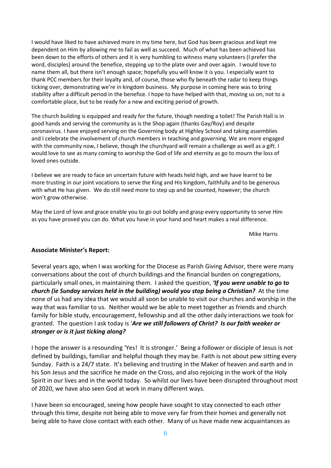I would have liked to have achieved more in my time here, but God has been gracious and kept me dependent on Him by allowing me to fail as well as succeed. Much of what has been achieved has been down to the efforts of others and it is very humbling to witness many volunteers (I prefer the word, disciples) around the benefice, stepping up to the plate over and over again. I would love to name them all, but there isn't enough space; hopefully you will know it is you. I especially want to thank PCC members for their loyalty and, of course, those who fly beneath the radar to keep things ticking over, demonstrating we're in kingdom business. My purpose in coming here was to bring stability after a difficult period in the benefice. I hope to have helped with that, moving us on, not to a comfortable place, but to be ready for a new and exciting period of growth.

The church building is equipped and ready for the future, though needing a toilet! The Parish Hall is in good hands and serving the community as is the Shop again (thanks Gay/Roy) and despite coronavirus. I have enjoyed serving on the Governing body at Highley School and taking assemblies and I celebrate the involvement of church members in teaching and governing. We are more engaged with the community now, I believe, though the churchyard will remain a challenge as well as a gift. I would love to see as many coming to worship the God of life and eternity as go to mourn the loss of loved ones outside.

I believe we are ready to face an uncertain future with heads held high, and we have learnt to be more trusting in our joint vocations to serve the King and His kingdom, faithfully and to be generous with what He has given. We do still need more to step up and be counted, however; the church won't grow otherwise.

May the Lord of love and grace enable you to go out boldly and grasp every opportunity to serve Him as you have proved you can do. What you have in your hand and heart makes a real difference.

Mike Harris

#### **Associate Minister's Report:**

Several years ago, when I was working for the Diocese as Parish Giving Advisor, there were many conversations about the cost of church buildings and the financial burden on congregations, particularly small ones, in maintaining them. I asked the question, *'If you were unable to go to church (ie Sunday services held in the building) would you stop being a Christian?* At the time none of us had any idea that we would all soon be unable to visit our churches and worship in the way that was familiar to us. Neither would we be able to meet together as friends and church family for bible study, encouragement, fellowship and all the other daily interactions we took for granted. The question I ask today is '*Are we still followers of Christ? Is our faith weaker or stronger or is it just ticking along?*

I hope the answer is a resounding 'Yes! It is stronger.' Being a follower or disciple of Jesus is not defined by buildings, familiar and helpful though they may be. Faith is not about pew sitting every Sunday. Faith is a 24/7 state. It's believing and trusting in the Maker of heaven and earth and in his Son Jesus and the sacrifice he made on the Cross, and also rejoicing in the work of the Holy Spirit in our lives and in the world today. So whilst our lives have been disrupted throughout most of 2020, we have also seen God at work in many different ways.

I have been so encouraged, seeing how people have sought to stay connected to each other through this time, despite not being able to move very far from their homes and generally not being able to have close contact with each other. Many of us have made new acquaintances as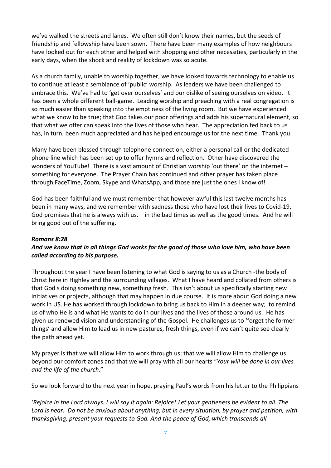we've walked the streets and lanes. We often still don't know their names, but the seeds of friendship and fellowship have been sown. There have been many examples of how neighbours have looked out for each other and helped with shopping and other necessities, particularly in the early days, when the shock and reality of lockdown was so acute.

As a church family, unable to worship together, we have looked towards technology to enable us to continue at least a semblance of 'public' worship. As leaders we have been challenged to embrace this. We've had to 'get over ourselves' and our dislike of seeing ourselves on video. It has been a whole different ball-game. Leading worship and preaching with a real congregation is so much easier than speaking into the emptiness of the living room. But we have experienced what we know to be true; that God takes our poor offerings and adds his supernatural element, so that what we offer can speak into the lives of those who hear. The appreciation fed back to us has, in turn, been much appreciated and has helped encourage us for the next time. Thank you.

Many have been blessed through telephone connection, either a personal call or the dedicated phone line which has been set up to offer hymns and reflection. Other have discovered the wonders of YouTube! There is a vast amount of Christian worship 'out there' on the internet – something for everyone. The Prayer Chain has continued and other prayer has taken place through FaceTime, Zoom, Skype and WhatsApp, and those are just the ones I know of!

God has been faithful and we must remember that however awful this last twelve months has been in many ways, and we remember with sadness those who have lost their lives to Covid-19, God promises that he is always with us.  $-$  in the bad times as well as the good times. And he will bring good out of the suffering.

#### *Romans 8:28*

## And we know that in all things God works for the good of those who love him, who have been *called according to his purpose.*

Throughout the year I have been listening to what God is saying to us as a Church -the body of Christ here in Highley and the surrounding villages. What I have heard and collated from others is that God s doing something new, something fresh. This isn't about us specifically starting new initiatives or projects, although that may happen in due course. It is more about God doing a new work in US. He has worked through lockdown to bring us back to Him in a deeper way; to remind us of who He is and what He wants to do in our lives and the lives of those around us. He has given us renewed vision and understanding of the Gospel. He challenges us to 'forget the former things' and allow Him to lead us in new pastures, fresh things, even if we can't quite see clearly the path ahead yet.

My prayer is that we will allow Him to work through us; that we will allow Him to challenge us beyond our comfort zones and that we will pray with all our hearts "*Your will be done in our lives and the life of the church.*"

So we look forward to the next year in hope, praying Paul's words from his letter to the Philippians

'Rejoice in the Lord always. I will say it again: Rejoice! Let your gentleness be evident to all. The *Lord is near. Do not be anxious about anything, but in every situation, by prayer and petition, with thanksgiving, present your requests to God. And the peace of God, which transcends all*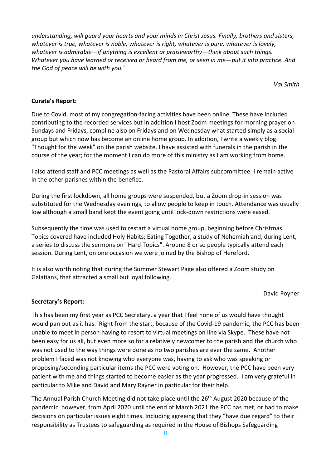*understanding, will guard your hearts and your minds in Christ Jesus. Finally, brothers and sisters, whatever is true, whatever is noble, whatever is right, whatever is pure, whatever is lovely, whatever is admirable—if anything is excellent or praiseworthy—think about such things.* Whatever you have learned or received or heard from me, or seen in me-put it into practice. And *the God of peace will be with you.'*

*Val Smith*

#### **Curate's Report:**

Due to Covid, most of my congregation-facing activities have been online. These have included contributing to the recorded services but in addition I host Zoom meetings for morning prayer on Sundays and Fridays, compline also on Fridays and on Wednesday what started simply as a social group but which now has become an online home group. In addition, I write a weekly blog "Thought for the week" on the parish website. I have assisted with funerals in the parish in the course of the year; for the moment I can do more of this ministry as I am working from home.

I also attend staff and PCC meetings as well as the Pastoral Affairs subcommittee. I remain active in the other parishes within the benefice.

During the first lockdown, all home groups were suspended, but a Zoom drop-in session was substituted for the Wednesday evenings, to allow people to keep in touch. Attendance was usually low although a small band kept the event going until lock-down restrictions were eased.

Subsequently the time was used to restart a virtual home group, beginning before Christmas. Topics covered have included Holy Habits; Eating Together, a study of Nehemiah and, during Lent, a series to discuss the sermons on "Hard Topics". Around 8 or so people typically attend each session. During Lent, on one occasion we were joined by the Bishop of Hereford.

It is also worth noting that during the Summer Stewart Page also offered a Zoom study on Galatians, that attracted a small but loyal following.

David Poyner

### **Secretary's Report:**

This has been my first year as PCC Secretary, a year that I feel none of us would have thought would pan out as it has. Right from the start, because of the Covid-19 pandemic, the PCC has been unable to meet in person having to resort to virtual meetings on line via Skype. These have not been easy for us all, but even more so for a relatively newcomer to the parish and the church who was not used to the way things were done as no two parishes are ever the same. Another problem I faced was not knowing who everyone was, having to ask who was speaking or proposing/seconding particular items the PCC were voting on. However, the PCC have been very patient with me and things started to become easier as the year progressed. I am very grateful in particular to Mike and David and Mary Rayner in particular for their help.

The Annual Parish Church Meeting did not take place until the 26<sup>th</sup> August 2020 because of the pandemic, however, from April 2020 until the end of March 2021 the PCC has met, or had to make decisions on particular issues eight times. Including agreeing that they "have due regard" to their responsibility as Trustees to safeguarding as required in the House of Bishops Safeguarding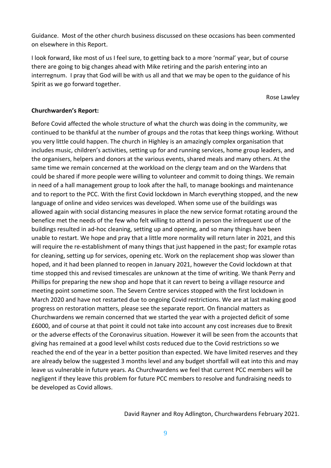Guidance. Most of the other church business discussed on these occasions has been commented on elsewhere in this Report.

I look forward, like most of us I feel sure, to getting back to a more 'normal' year, but of course there are going to big changes ahead with Mike retiring and the parish entering into an interregnum. I pray that God will be with us all and that we may be open to the guidance of his Spirit as we go forward together.

Rose Lawley

#### **Churchwarden's Report:**

Before Covid affected the whole structure of what the church was doing in the community, we continued to be thankful at the number of groups and the rotas that keep things working. Without you very little could happen. The church in Highley is an amazingly complex organisation that includes music, children's activities, setting up for and running services, home group leaders, and the organisers, helpers and donors at the various events, shared meals and many others. At the same time we remain concerned at the workload on the clergy team and on the Wardens that could be shared if more people were willing to volunteer and commit to doing things. We remain in need of a hall management group to look after the hall, to manage bookings and maintenance and to report to the PCC. With the first Covid lockdown in March everything stopped, and the new language of online and video services was developed. When some use of the buildings was allowed again with social distancing measures in place the new service format rotating around the benefice met the needs of the few who felt willing to attend in person the infrequent use of the buildings resulted in ad-hoc cleaning, setting up and opening, and so many things have been unable to restart. We hope and pray that a little more normality will return later in 2021, and this will require the re-establishment of many things that just happened in the past; for example rotas for cleaning, setting up for services, opening etc. Work on the replacement shop was slower than hoped, and it had been planned to reopen in January 2021, however the Covid lockdown at that time stopped this and revised timescales are unknown at the time of writing. We thank Perry and Phillips for preparing the new shop and hope that it can revert to being a village resource and meeting point sometime soon. The Severn Centre services stopped with the first lockdown in March 2020 and have not restarted due to ongoing Covid restrictions. We are at last making good progress on restoration matters, please see the separate report. On financial matters as Churchwardens we remain concerned that we started the year with a projected deficit of some £6000, and of course at that point it could not take into account any cost increases due to Brexit or the adverse effects of the Coronavirus situation. However it will be seen from the accounts that giving has remained at a good level whilst costs reduced due to the Covid restrictions so we reached the end of the year in a better position than expected. We have limited reserves and they are already below the suggested 3 months level and any budget shortfall will eat into this and may leave us vulnerable in future years. As Churchwardens we feel that current PCC members will be negligent if they leave this problem for future PCC members to resolve and fundraising needs to be developed as Covid allows.

David Rayner and Roy Adlington, Churchwardens February 2021.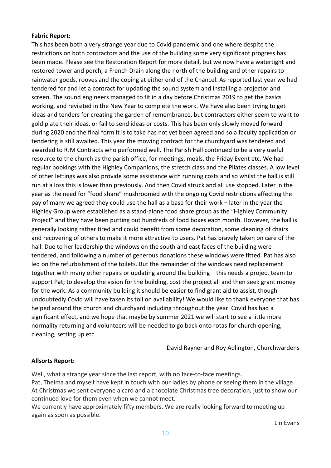#### **Fabric Report:**

This has been both a very strange year due to Covid pandemic and one where despite the restrictions on both contractors and the use of the building some very significant progress has been made. Please see the Restoration Report for more detail, but we now have a watertight and restored tower and porch, a French Drain along the north of the building and other repairs to rainwater goods, rooves and the coping at either end of the Chancel. As reported last year we had tendered for and let a contract for updating the sound system and installing a projector and screen. The sound engineers managed to fit in a day before Christmas 2019 to get the basics working, and revisited in the New Year to complete the work. We have also been trying to get ideas and tenders for creating the garden of remembrance, but contractors either seem to want to gold plate their ideas, or fail to send ideas or costs. This has been only slowly moved forward during 2020 and the final form it is to take has not yet been agreed and so a faculty application or tendering is still awaited. This year the mowing contract for the churchyard was tendered and awarded to RJM Contracts who performed well. The Parish Hall continued to be a very useful resource to the church as the parish office, for meetings, meals, the Friday Event etc. We had regular bookings with the Highley Companions, the stretch class and the Pilates classes. A low level of other lettings was also provide some assistance with running costs and so whilst the hall is still run at a loss this is lower than previously. And then Covid struck and all use stopped. Later in the year as the need for "food share" mushroomed with the ongoing Covid restrictions affecting the pay of many we agreed they could use the hall as a base for their work – later in the year the Highley Group were established as a stand-alone food share group as the "Highley Community Project" and they have been putting out hundreds of food boxes each month. However, the hall is generally looking rather tired and could benefit from some decoration, some cleaning of chairs and recovering of others to make it more attractive to users. Pat has bravely taken on care of the hall. Due to her leadership the windows on the south and east faces of the building were tendered, and following a number of generous donations these windows were fitted. Pat has also led on the refurbishment of the toilets. But the remainder of the windows need replacement together with many other repairs or updating around the building – this needs a project team to support Pat; to develop the vision for the building, cost the project all and then seek grant money for the work. As a community building it should be easier to find grant aid to assist, though undoubtedly Covid will have taken its toll on availability! We would like to thank everyone that has helped around the church and churchyard including throughout the year. Covid has had a significant effect, and we hope that maybe by summer 2021 we will start to see a little more normality returning and volunteers will be needed to go back onto rotas for church opening, cleaning, setting up etc.

David Rayner and Roy Adlington, Churchwardens

#### **Allsorts Report:**

Well, what a strange year since the last report, with no face-to-face meetings. Pat, Thelma and myself have kept in touch with our ladies by phone or seeing them in the village. At Christmas we sent everyone a card and a chocolate Christmas tree decoration, just to show our continued love for them even when we cannot meet.

We currently have approximately fifty members. We are really looking forward to meeting up again as soon as possible.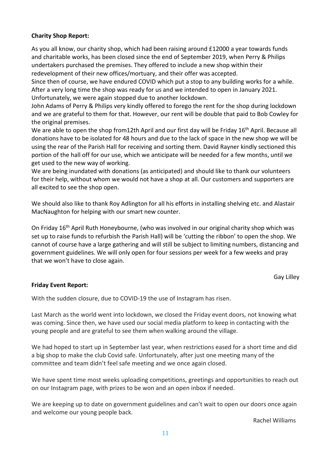### **Charity Shop Report:**

As you all know, our charity shop, which had been raising around £12000 a year towards funds and charitable works, has been closed since the end of September 2019, when Perry & Philips undertakers purchased the premises. They offered to include a new shop within their redevelopment of their new offices/mortuary, and their offer was accepted.

Since then of course, we have endured COVID which put a stop to any building works for a while. After a very long time the shop was ready for us and we intended to open in January 2021. Unfortunately, we were again stopped due to another lockdown.

John Adams of Perry & Philips very kindly offered to forego the rent for the shop during lockdown and we are grateful to them for that. However, our rent will be double that paid to Bob Cowley for the original premises.

We are able to open the shop from12th April and our first day will be Friday 16<sup>th</sup> April. Because all donations have to be isolated for 48 hours and due to the lack of space in the new shop we will be using the rear of the Parish Hall for receiving and sorting them. David Rayner kindly sectioned this portion of the hall off for our use, which we anticipate will be needed for a few months, until we get used to the new way of working.

We are being inundated with donations (as anticipated) and should like to thank our volunteers for their help, without whom we would not have a shop at all. Our customers and supporters are all excited to see the shop open.

We should also like to thank Roy Adlington for all his efforts in installing shelving etc. and Alastair MacNaughton for helping with our smart new counter.

On Friday 16<sup>th</sup> April Ruth Honeybourne, (who was involved in our original charity shop which was set up to raise funds to refurbish the Parish Hall) will be 'cutting the ribbon' to open the shop. We cannot of course have a large gathering and will still be subject to limiting numbers, distancing and government guidelines. We will only open for four sessions per week for a few weeks and pray that we won't have to close again.

Gay Lilley

#### **Friday Event Report:**

With the sudden closure, due to COVID-19 the use of Instagram has risen.

Last March as the world went into lockdown, we closed the Friday event doors, not knowing what was coming. Since then, we have used our social media platform to keep in contacting with the young people and are grateful to see them when walking around the village.

We had hoped to start up in September last year, when restrictions eased for a short time and did a big shop to make the club Covid safe. Unfortunately, after just one meeting many of the committee and team didn't feel safe meeting and we once again closed.

We have spent time most weeks uploading competitions, greetings and opportunities to reach out on our Instagram page, with prizes to be won and an open inbox if needed.

We are keeping up to date on government guidelines and can't wait to open our doors once again and welcome our young people back.

Rachel Williams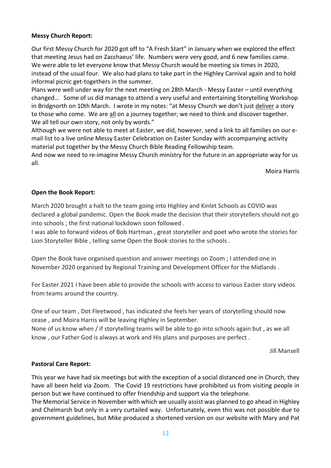#### **Messy Church Report:**

Our first Messy Church for 2020 got off to "A Fresh Start" in January when we explored the effect that meeting Jesus had on Zacchaeus' life. Numbers were very good, and 6 new families came. We were able to let everyone know that Messy Church would be meeting six times in 2020, instead of the usual four. We also had plans to take part in the Highley Carnival again and to hold informal picnic get-togethers in the summer.

Plans were well under way for the next meeting on 28th March - Messy Easter – until everything changed… Some of us did manage to attend a very useful and entertaining Storytelling Workshop in Bridgnorth on 10th March. I wrote in my notes: "at Messy Church we don't just deliver a story to those who come. We are all on a journey together; we need to think and discover together. We all tell our own story, not only by words."

Although we were not able to meet at Easter, we did, however, send a link to all families on our email list to a live online Messy Easter Celebration on Easter Sunday with accompanying activity material put together by the Messy Church Bible Reading Fellowship team.

And now we need to re-imagine Messy Church ministry for the future in an appropriate way for us all.

Moira Harris

#### **Open the Book Report:**

March 2020 brought a halt to the team going into Highley and Kinlet Schools as COVID was declared a global pandemic. Open the Book made the decision that their storytellers should not go into schools ; the first national lockdown soon followed .

I was able to forward videos of Bob Hartman , great storyteller and poet who wrote the stories for Lion Storyteller Bible , telling some Open the Book stories to the schools .

Open the Book have organised question and answer meetings on Zoom ; I attended one in November 2020 organised by Regional Training and Development Officer for the Midlands .

For Easter 2021 I have been able to provide the schools with access to various Easter story videos from teams around the country.

One of our team , Dot Fleetwood , has indicated she feels her years of storytelling should now cease , and Moira Harris will be leaving Highley in September.

None of us know when / if storytelling teams will be able to go into schools again but , as we all know , our Father God is always at work and His plans and purposes are perfect .

Jill Mansell

#### **Pastoral Care Report:**

This year we have had six meetings but with the exception of a social distanced one in Church, they have all been held via Zoom. The Covid 19 restrictions have prohibited us from visiting people in person but we have continued to offer friendship and support via the telephone.

The Memorial Service in November with which we usually assist was planned to go ahead in Highley and Chelmarsh but only in a very curtailed way. Unfortunately, even this was not possible due to government guidelines, but Mike produced a shortened version on our website with Mary and Pat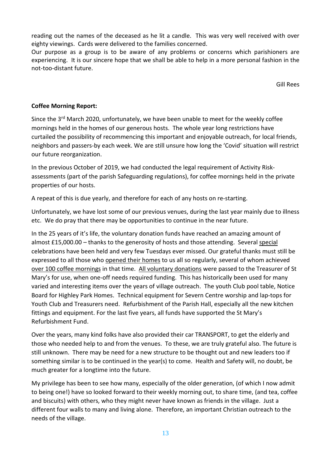reading out the names of the deceased as he lit a candle. This was very well received with over eighty viewings. Cards were delivered to the families concerned.

Our purpose as a group is to be aware of any problems or concerns which parishioners are experiencing. It is our sincere hope that we shall be able to help in a more personal fashion in the not-too-distant future.

Gill Rees

### **Coffee Morning Report:**

Since the 3<sup>rd</sup> March 2020, unfortunately, we have been unable to meet for the weekly coffee mornings held in the homes of our generous hosts. The whole year long restrictions have curtailed the possibility of recommencing this important and enjoyable outreach, for local friends, neighbors and passers-by each week. We are still unsure how long the 'Covid' situation will restrict our future reorganization.

In the previous October of 2019, we had conducted the legal requirement of Activity Riskassessments (part of the parish Safeguarding regulations), for coffee mornings held in the private properties of our hosts.

A repeat of this is due yearly, and therefore for each of any hosts on re-starting.

Unfortunately, we have lost some of our previous venues, during the last year mainly due to illness etc. We do pray that there may be opportunities to continue in the near future.

In the 25 years of it's life, the voluntary donation funds have reached an amazing amount of almost £15,000.00 – thanks to the generosity of hosts and those attending. Several special celebrations have been held and very few Tuesdays ever missed. Our grateful thanks must still be expressed to all those who opened their homes to us all so regularly, several of whom achieved over 100 coffee mornings in that time. All voluntary donations were passed to the Treasurer of St Mary's for use, when one-off needs required funding. This has historically been used for many varied and interesting items over the years of village outreach. The youth Club pool table, Notice Board for Highley Park Homes. Technical equipment for Severn Centre worship and lap-tops for Youth Club and Treasurers need. Refurbishment of the Parish Hall, especially all the new kitchen fittings and equipment. For the last five years, all funds have supported the St Mary's Refurbishment Fund.

Over the years, many kind folks have also provided their car TRANSPORT, to get the elderly and those who needed help to and from the venues. To these, we are truly grateful also. The future is still unknown. There may be need for a new structure to be thought out and new leaders too if something similar is to be continued in the year(s) to come. Health and Safety will, no doubt, be much greater for a longtime into the future.

My privilege has been to see how many, especially of the older generation, (of which I now admit to being one!) have so looked forward to their weekly morning out, to share time, (and tea, coffee and biscuits) with others, who they might never have known as friends in the village. Just a different four walls to many and living alone. Therefore, an important Christian outreach to the needs of the village.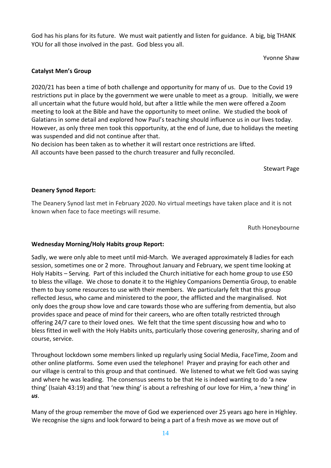God has his plans for its future. We must wait patiently and listen for guidance. A big, big THANK YOU for all those involved in the past. God bless you all.

Yvonne Shaw

#### **Catalyst Men's Group**

2020/21 has been a time of both challenge and opportunity for many of us. Due to the Covid 19 restrictions put in place by the government we were unable to meet as a group. Initially, we were all uncertain what the future would hold, but after a little while the men were offered a Zoom meeting to look at the Bible and have the opportunity to meet online. We studied the book of Galatians in some detail and explored how Paul's teaching should influence us in our lives today. However, as only three men took this opportunity, at the end of June, due to holidays the meeting was suspended and did not continue after that.

No decision has been taken as to whether it will restart once restrictions are lifted. All accounts have been passed to the church treasurer and fully reconciled.

Stewart Page

#### **Deanery Synod Report:**

The Deanery Synod last met in February 2020. No virtual meetings have taken place and it is not known when face to face meetings will resume.

Ruth Honeybourne

#### **Wednesday Morning/Holy Habits group Report:**

Sadly, we were only able to meet until mid-March. We averaged approximately 8 ladies for each session, sometimes one or 2 more. Throughout January and February, we spent time looking at Holy Habits – Serving. Part of this included the Church initiative for each home group to use £50 to bless the village. We chose to donate it to the Highley Companions Dementia Group, to enable them to buy some resources to use with their members. We particularly felt that this group reflected Jesus, who came and ministered to the poor, the afflicted and the marginalised. Not only does the group show love and care towards those who are suffering from dementia, but also provides space and peace of mind for their careers, who are often totally restricted through offering 24/7 care to their loved ones. We felt that the time spent discussing how and who to bless fitted in well with the Holy Habits units, particularly those covering generosity, sharing and of course, service.

Throughout lockdown some members linked up regularly using Social Media, FaceTime, Zoom and other online platforms. Some even used the telephone! Prayer and praying for each other and our village is central to this group and that continued. We listened to what we felt God was saying and where he was leading. The consensus seems to be that He is indeed wanting to do 'a new thing' (Isaiah 43:19) and that 'new thing' is about a refreshing of our love for Him, a 'new thing' in *us*.

Many of the group remember the move of God we experienced over 25 years ago here in Highley. We recognise the signs and look forward to being a part of a fresh move as we move out of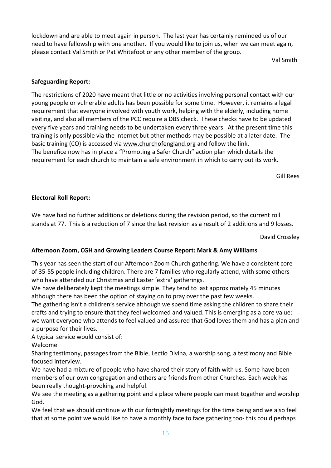lockdown and are able to meet again in person. The last year has certainly reminded us of our need to have fellowship with one another. If you would like to join us, when we can meet again, please contact Val Smith or Pat Whitefoot or any other member of the group.

Val Smith

## **Safeguarding Report:**

The restrictions of 2020 have meant that little or no activities involving personal contact with our young people or vulnerable adults has been possible for some time. However, it remains a legal requirement that everyone involved with youth work, helping with the elderly, including home visiting, and also all members of the PCC require a DBS check. These checks have to be updated every five years and training needs to be undertaken every three years. At the present time this training is only possible via the internet but other methods may be possible at a later date. The basic training (CO) is accessed via [www.churchofengland.org](http://www.churchofengland.org/) and follow the link. The benefice now has in place a "Promoting a Safer Church" action plan which details the requirement for each church to maintain a safe environment in which to carry out its work.

Gill Rees

### **Electoral Roll Report:**

We have had no further additions or deletions during the revision period, so the current roll stands at 77. This is a reduction of 7 since the last revision as a result of 2 additions and 9 losses.

David Crossley

## **Afternoon Zoom, CGH and Growing Leaders Course Report: Mark & Amy Williams**

This year has seen the start of our Afternoon Zoom Church gathering. We have a consistent core of 35-55 people including children. There are 7 families who regularly attend, with some others who have attended our Christmas and Easter 'extra' gatherings.

We have deliberately kept the meetings simple. They tend to last approximately 45 minutes although there has been the option of staying on to pray over the past few weeks.

The gathering isn't a children's service although we spend time asking the children to share their crafts and trying to ensure that they feel welcomed and valued. This is emerging as a core value: we want everyone who attends to feel valued and assured that God loves them and has a plan and a purpose for their lives.

A typical service would consist of:

Welcome

Sharing testimony, passages from the Bible, Lectio Divina, a worship song, a testimony and Bible focused interview.

We have had a mixture of people who have shared their story of faith with us. Some have been members of our own congregation and others are friends from other Churches. Each week has been really thought-provoking and helpful.

We see the meeting as a gathering point and a place where people can meet together and worship God.

We feel that we should continue with our fortnightly meetings for the time being and we also feel that at some point we would like to have a monthly face to face gathering too- this could perhaps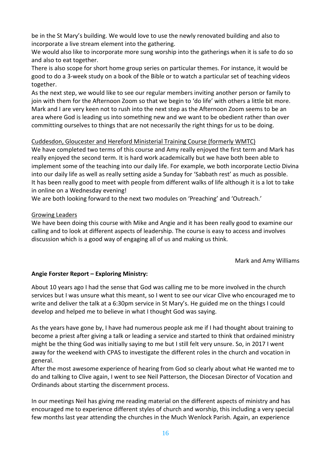be in the St Mary's building. We would love to use the newly renovated building and also to incorporate a live stream element into the gathering.

We would also like to incorporate more sung worship into the gatherings when it is safe to do so and also to eat together.

There is also scope for short home group series on particular themes. For instance, it would be good to do a 3-week study on a book of the Bible or to watch a particular set of teaching videos together.

As the next step, we would like to see our regular members inviting another person or family to join with them for the Afternoon Zoom so that we begin to 'do life' with others a little bit more. Mark and I are very keen not to rush into the next step as the Afternoon Zoom seems to be an area where God is leading us into something new and we want to be obedient rather than over committing ourselves to things that are not necessarily the right things for us to be doing.

### Cuddesdon, Gloucester and Hereford Ministerial Training Course (formerly WMTC)

We have completed two terms of this course and Amy really enjoyed the first term and Mark has really enjoyed the second term. It is hard work academically but we have both been able to implement some of the teaching into our daily life. For example, we both incorporate Lectio Divina into our daily life as well as really setting aside a Sunday for 'Sabbath rest' as much as possible. It has been really good to meet with people from different walks of life although it is a lot to take in online on a Wednesday evening!

We are both looking forward to the next two modules on 'Preaching' and 'Outreach.'

#### Growing Leaders

We have been doing this course with Mike and Angie and it has been really good to examine our calling and to look at different aspects of leadership. The course is easy to access and involves discussion which is a good way of engaging all of us and making us think.

Mark and Amy Williams

### **Angie Forster Report – Exploring Ministry:**

About 10 years ago I had the sense that God was calling me to be more involved in the church services but I was unsure what this meant, so I went to see our vicar Clive who encouraged me to write and deliver the talk at a 6:30pm service in St Mary's. He guided me on the things I could develop and helped me to believe in what I thought God was saying.

As the years have gone by, I have had numerous people ask me if I had thought about training to become a priest after giving a talk or leading a service and started to think that ordained ministry might be the thing God was initially saying to me but I still felt very unsure. So, in 2017 I went away for the weekend with CPAS to investigate the different roles in the church and vocation in general.

After the most awesome experience of hearing from God so clearly about what He wanted me to do and talking to Clive again, I went to see Neil Patterson, the Diocesan Director of Vocation and Ordinands about starting the discernment process.

In our meetings Neil has giving me reading material on the different aspects of ministry and has encouraged me to experience different styles of church and worship, this including a very special few months last year attending the churches in the Much Wenlock Parish. Again, an experience